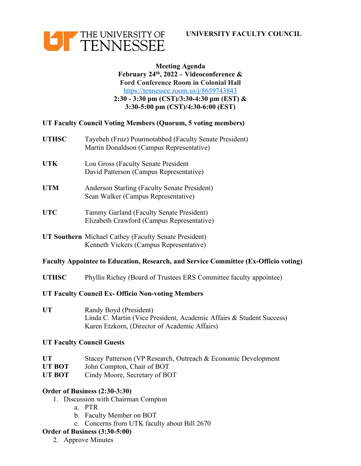**UNIVERSITY FACULTY COUNCIL**



### **Meeting Agenda February 24th, 2022 – Videoconference & Ford Conference Room in Colonial Hall** https://tennessee.zoom.us/j/8659743843 **2:30 - 3:30 pm (CST)/3:30-4:30 pm (EST) & 3:30-5:00 pm (CST)/4:30-6:00 (EST)**

### **UT Faculty Council Voting Members (Quorum, 5 voting members)**

| <b>UTHSC</b> | Tayebeh (Fruz) Pourmotabbed (Faculty Senate President)<br>Martin Donaldson (Campus Representative) |
|--------------|----------------------------------------------------------------------------------------------------|
| UTK          | Lou Gross (Faculty Senate President<br>David Patterson (Campus Representative)                     |
| <b>UTM</b>   | Anderson Starling (Faculty Senate President)<br>Sean Walker (Campus Representative)                |
| <b>UTC</b>   | Tammy Garland (Faculty Senate President)<br>Elizabeth Crawford (Campus Representative)             |
|              |                                                                                                    |

**UT Southern** Michael Cathey (Faculty Senate President) Kenneth Vickers (Campus Representative)

### **Faculty Appointee to Education, Research, and Service Committee (Ex-Officio voting)**

**UTHSC** Phyllis Richey (Board of Trustees ERS Committee faculty appointee)

#### **UT Faculty Council Ex- Officio Non-voting Members**

**UT** Randy Boyd (President) Linda C. Martin (Vice President, Academic Affairs & Student Success) Karen Etzkorn, (Director of Academic Affairs)

### **UT Faculty Council Guests**

- UT Stacey Patterson (VP Research, Outreach & Economic Development
- **UT BOT** John Compton, Chair of BOT
- **UT BOT** Cindy Moore, Secretary of BOT

### **Order of Business (2:30-3:30)**

- 1. Discussion with Chairman Compton
	- a. PTR
	- b. Faculty Member on BOT
	- c. Concerns from UTK faculty about Bill 2670

### **Order of Business (3:30-5:00)**

2. Approve Minutes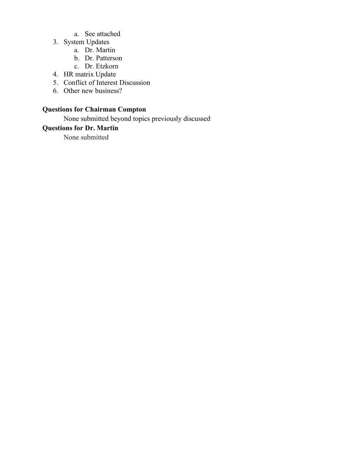- a. See attached
- 3. System Updates
	- a. Dr. Martin
	- b. Dr. Patterson
	- c. Dr. Etzkorn
- 4. HR matrix Update
- 5. Conflict of Interest Discussion
- 6. Other new business?

# **Questions for Chairman Compton**

None submitted beyond topics previously discussed

# **Questions for Dr. Martin**

None submitted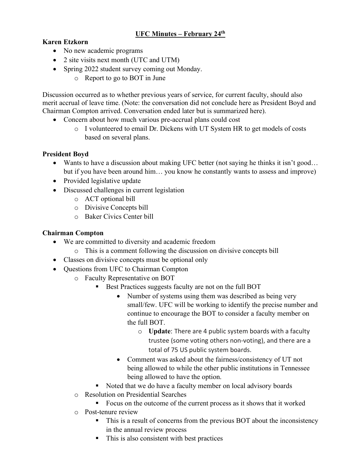# **UFC Minutes – February 24th**

# **Karen Etzkorn**

- No new academic programs
- 2 site visits next month (UTC and UTM)
- Spring 2022 student survey coming out Monday.
	- o Report to go to BOT in June

Discussion occurred as to whether previous years of service, for current faculty, should also merit accrual of leave time. (Note: the conversation did not conclude here as President Boyd and Chairman Compton arrived. Conversation ended later but is summarized here).

- Concern about how much various pre-accrual plans could cost
	- o I volunteered to email Dr. Dickens with UT System HR to get models of costs based on several plans.

## **President Boyd**

- Wants to have a discussion about making UFC better (not saying he thinks it isn't good... but if you have been around him… you know he constantly wants to assess and improve)
- Provided legislative update
- Discussed challenges in current legislation
	- o ACT optional bill
	- o Divisive Concepts bill
	- o Baker Civics Center bill

## **Chairman Compton**

- We are committed to diversity and academic freedom
	- o This is a comment following the discussion on divisive concepts bill
- Classes on divisive concepts must be optional only
- Questions from UFC to Chairman Compton
	- o Faculty Representative on BOT
		- Best Practices suggests faculty are not on the full BOT
			- Number of systems using them was described as being very small/few. UFC will be working to identify the precise number and continue to encourage the BOT to consider a faculty member on the full BOT.
				- o **Update**: There are 4 public system boards with a faculty trustee (some voting others non-voting), and there are a total of 75 US public system boards.
			- Comment was asked about the fairness/consistency of UT not being allowed to while the other public institutions in Tennessee being allowed to have the option.
		- Noted that we do have a faculty member on local advisory boards
	- o Resolution on Presidential Searches
		- Focus on the outcome of the current process as it shows that it worked
	- o Post-tenure review
		- This is a result of concerns from the previous BOT about the inconsistency in the annual review process
		- This is also consistent with best practices